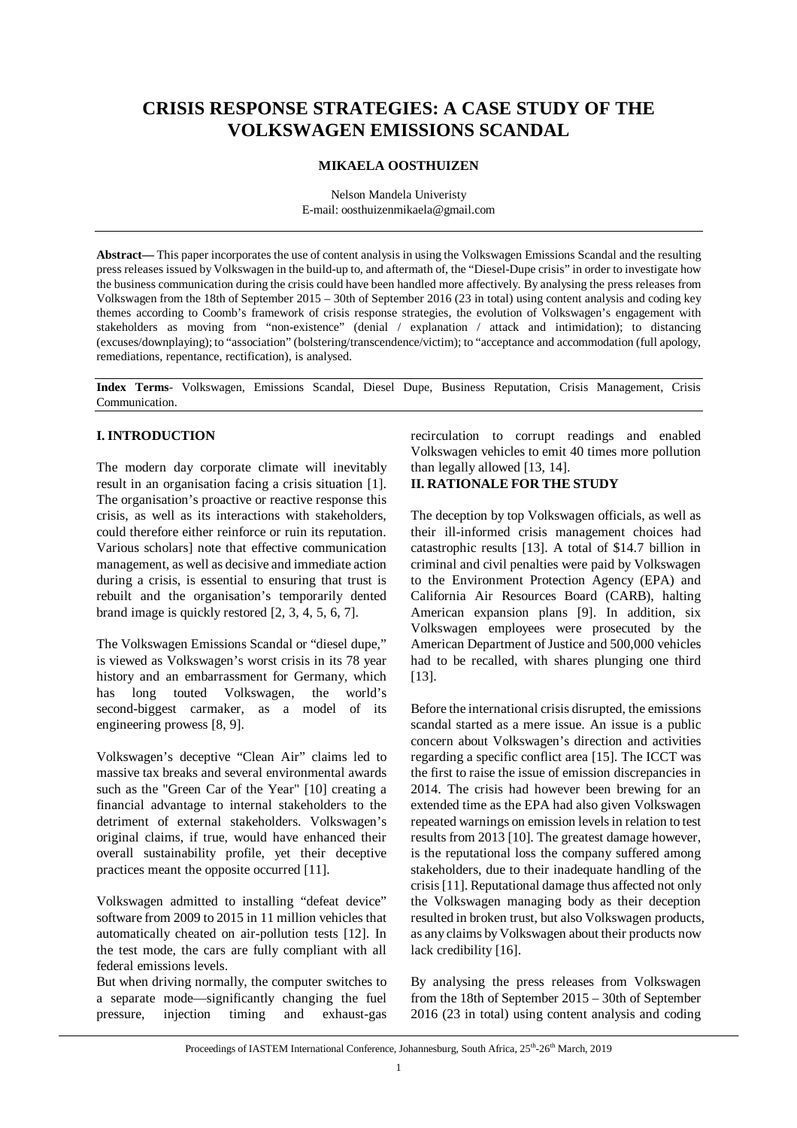# **CRISIS RESPONSE STRATEGIES: A CASE STUDY OF THE VOLKSWAGEN EMISSIONS SCANDAL**

### **MIKAELA OOSTHUIZEN**

Nelson Mandela Univeristy E-mail: oosthuizenmikaela@gmail.com

**Abstract—** This paper incorporates the use of content analysis in using the Volkswagen Emissions Scandal and the resulting press releases issued by Volkswagen in the build-up to, and aftermath of, the "Diesel-Dupe crisis" in order to investigate how the business communication during the crisis could have been handled more affectively. By analysing the press releases from Volkswagen from the 18th of September 2015 – 30th of September 2016 (23 in total) using content analysis and coding key themes according to Coomb's framework of crisis response strategies, the evolution of Volkswagen's engagement with stakeholders as moving from "non-existence" (denial / explanation / attack and intimidation); to distancing (excuses/downplaying); to "association" (bolstering/transcendence/victim); to "acceptance and accommodation (full apology, remediations, repentance, rectification), is analysed.

**Index Terms**- Volkswagen, Emissions Scandal, Diesel Dupe, Business Reputation, Crisis Management, Crisis Communication.

[13].

## **I. INTRODUCTION**

The modern day corporate climate will inevitably result in an organisation facing a crisis situation [1]. The organisation's proactive or reactive response this crisis, as well as its interactions with stakeholders, could therefore either reinforce or ruin its reputation. Various scholars] note that effective communication management, as well as decisive and immediate action during a crisis, is essential to ensuring that trust is rebuilt and the organisation's temporarily dented brand image is quickly restored [2, 3, 4, 5, 6, 7].

The Volkswagen Emissions Scandal or "diesel dupe," is viewed as Volkswagen's worst crisis in its 78 year history and an embarrassment for Germany, which has long touted Volkswagen, the world's second-biggest carmaker, as a model of its engineering prowess [8, 9].

Volkswagen's deceptive "Clean Air" claims led to massive tax breaks and several environmental awards such as the "Green Car of the Year" [10] creating a financial advantage to internal stakeholders to the detriment of external stakeholders. Volkswagen's original claims, if true, would have enhanced their overall sustainability profile, yet their deceptive practices meant the opposite occurred [11].

Volkswagen admitted to installing "defeat device" software from 2009 to 2015 in 11 million vehicles that automatically cheated on air-pollution tests [12]. In the test mode, the cars are fully compliant with all federal emissions levels.

But when driving normally, the computer switches to a separate mode—significantly changing the fuel pressure, injection timing and exhaust-gas recirculation to corrupt readings and enabled Volkswagen vehicles to emit 40 times more pollution than legally allowed [13, 14]. **II. RATIONALE FOR THE STUDY**

## The deception by top Volkswagen officials, as well as their ill-informed crisis management choices had catastrophic results [13]. A total of \$14.7 billion in criminal and civil penalties were paid by Volkswagen to the Environment Protection Agency (EPA) and California Air Resources Board (CARB), halting American expansion plans [9]. In addition, six Volkswagen employees were prosecuted by the American Department of Justice and 500,000 vehicles had to be recalled, with shares plunging one third

Before the international crisis disrupted, the emissions scandal started as a mere issue. An issue is a public concern about Volkswagen's direction and activities regarding a specific conflict area [15]. The ICCT was the first to raise the issue of emission discrepancies in 2014. The crisis had however been brewing for an extended time as the EPA had also given Volkswagen repeated warnings on emission levels in relation to test results from 2013 [10]. The greatest damage however, is the reputational loss the company suffered among stakeholders, due to their inadequate handling of the crisis[11]. Reputational damage thus affected not only the Volkswagen managing body as their deception resulted in broken trust, but also Volkswagen products, as any claims by Volkswagen about their products now lack credibility [16].

By analysing the press releases from Volkswagen from the 18th of September 2015 – 30th of September 2016 (23 in total) using content analysis and coding

Proceedings of IASTEM International Conference, Johannesburg, South Africa, 25<sup>th</sup>-26<sup>th</sup> March, 2019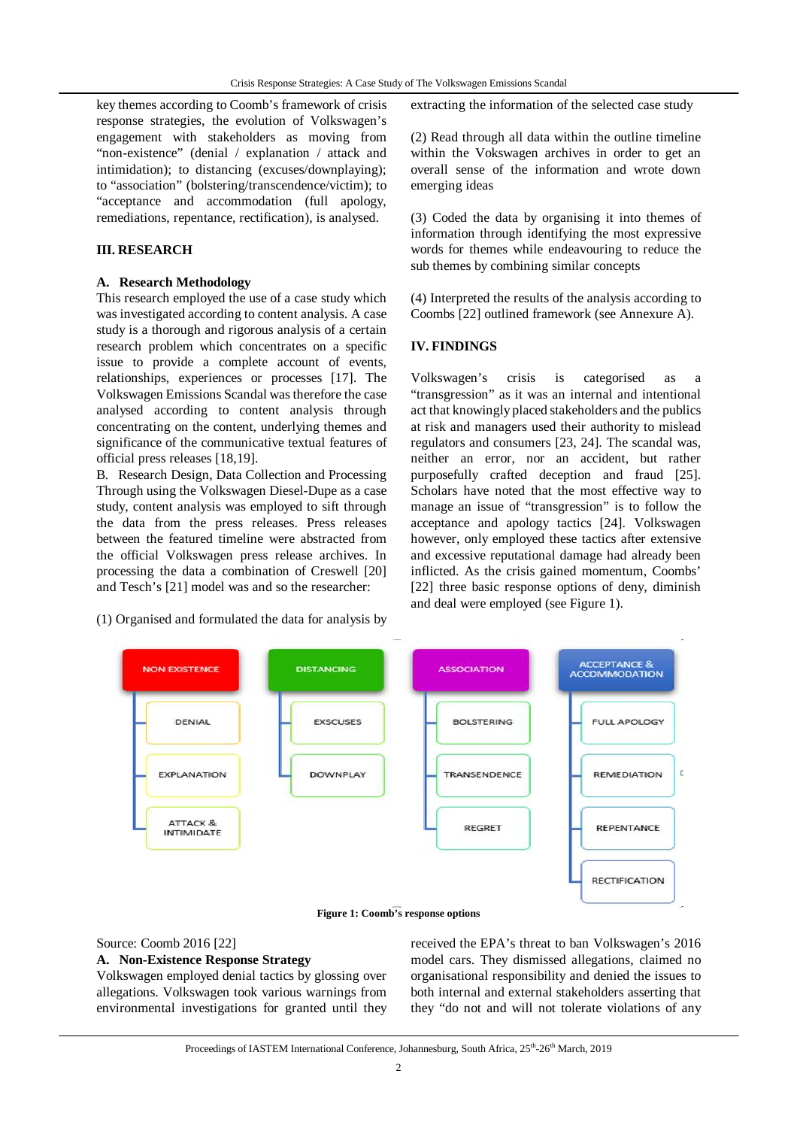key themes according to Coomb's framework of crisis response strategies, the evolution of Volkswagen's engagement with stakeholders as moving from "non-existence" (denial / explanation / attack and intimidation); to distancing (excuses/downplaying); to "association" (bolstering/transcendence/victim); to "acceptance and accommodation (full apology, remediations, repentance, rectification), is analysed.

### **III. RESEARCH**

#### **A. Research Methodology**

This research employed the use of a case study which was investigated according to content analysis. A case study is a thorough and rigorous analysis of a certain research problem which concentrates on a specific issue to provide a complete account of events, relationships, experiences or processes [17]. The Volkswagen Emissions Scandal was therefore the case analysed according to content analysis through concentrating on the content, underlying themes and significance of the communicative textual features of official press releases [18,19].

B. Research Design, Data Collection and Processing Through using the Volkswagen Diesel-Dupe as a case study, content analysis was employed to sift through the data from the press releases. Press releases between the featured timeline were abstracted from the official Volkswagen press release archives. In processing the data a combination of Creswell [20] and Tesch's [21] model was and so the researcher:

(1) Organised and formulated the data for analysis by

extracting the information of the selected case study

(2) Read through all data within the outline timeline within the Vokswagen archives in order to get an overall sense of the information and wrote down emerging ideas

(3) Coded the data by organising it into themes of information through identifying the most expressive words for themes while endeavouring to reduce the sub themes by combining similar concepts

(4) Interpreted the results of the analysis according to Coombs [22] outlined framework (see Annexure A).

### **IV. FINDINGS**

Volkswagen's crisis is categorised as a "transgression" as it was an internal and intentional act that knowingly placed stakeholders and the publics at risk and managers used their authority to mislead regulators and consumers [23, 24]. The scandal was, neither an error, nor an accident, but rather purposefully crafted deception and fraud [25]. Scholars have noted that the most effective way to manage an issue of "transgression" is to follow the acceptance and apology tactics [24]. Volkswagen however, only employed these tactics after extensive and excessive reputational damage had already been inflicted. As the crisis gained momentum, Coombs' [22] three basic response options of deny, diminish and deal were employed (see Figure 1).



**Figure 1: Coomb's response options**

## Source: Coomb 2016 [22] **A. Non-Existence Response Strategy**

Volkswagen employed denial tactics by glossing over allegations. Volkswagen took various warnings from environmental investigations for granted until they received the EPA's threat to ban Volkswagen's 2016 model cars. They dismissed allegations, claimed no organisational responsibility and denied the issues to both internal and external stakeholders asserting that they "do not and will not tolerate violations of any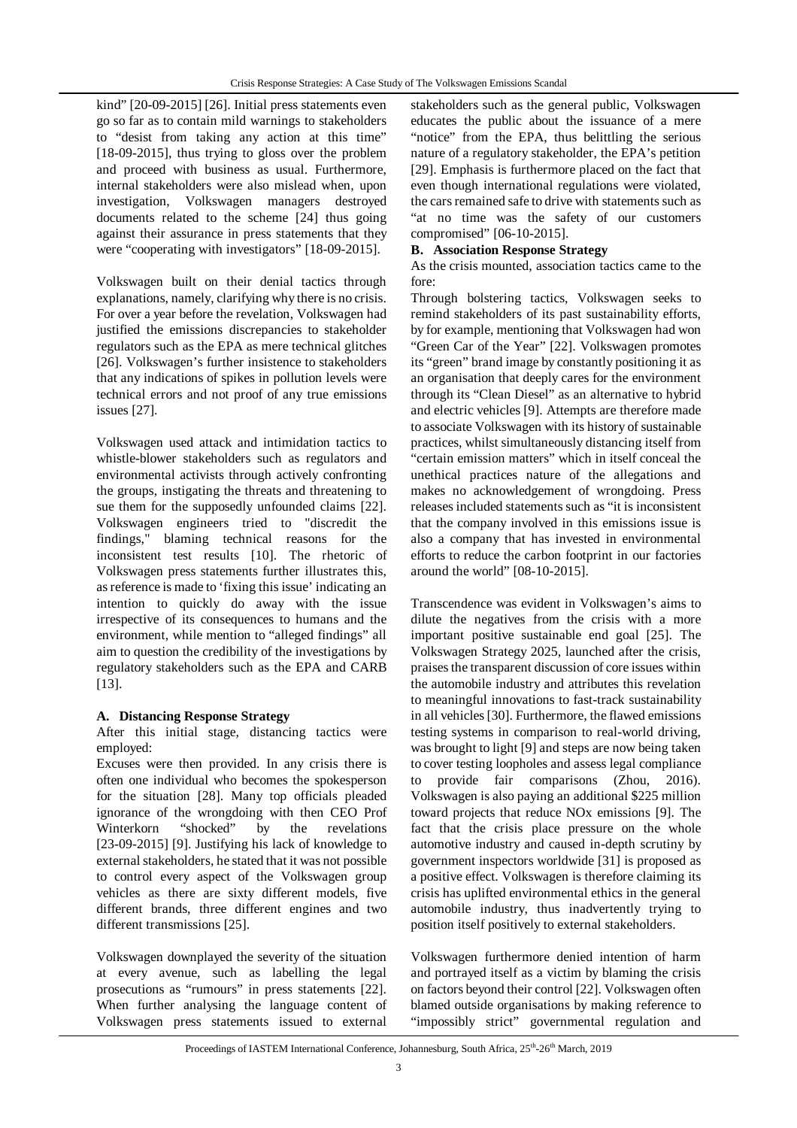kind" [20-09-2015] [26]. Initial press statements even go so far as to contain mild warnings to stakeholders to "desist from taking any action at this time" [18-09-2015], thus trying to gloss over the problem and proceed with business as usual. Furthermore, internal stakeholders were also mislead when, upon investigation, Volkswagen managers destroyed documents related to the scheme [24] thus going against their assurance in press statements that they were "cooperating with investigators" [18-09-2015].

Volkswagen built on their denial tactics through explanations, namely, clarifying why there is no crisis. For over a year before the revelation, Volkswagen had justified the emissions discrepancies to stakeholder regulators such as the EPA as mere technical glitches [26]. Volkswagen's further insistence to stakeholders that any indications of spikes in pollution levels were technical errors and not proof of any true emissions issues [27].

Volkswagen used attack and intimidation tactics to whistle-blower stakeholders such as regulators and environmental activists through actively confronting the groups, instigating the threats and threatening to sue them for the supposedly unfounded claims [22]. Volkswagen engineers tried to "discredit the findings," blaming technical reasons for the inconsistent test results [10]. The rhetoric of Volkswagen press statements further illustrates this, as reference is made to 'fixing this issue' indicating an intention to quickly do away with the issue irrespective of its consequences to humans and the environment, while mention to "alleged findings" all aim to question the credibility of the investigations by regulatory stakeholders such as the EPA and CARB [13].

## **A. Distancing Response Strategy**

After this initial stage, distancing tactics were employed:

Excuses were then provided. In any crisis there is often one individual who becomes the spokesperson for the situation [28]. Many top officials pleaded ignorance of the wrongdoing with then CEO Prof Winterkorn "shocked" by the revelations [23-09-2015] [9]. Justifying his lack of knowledge to external stakeholders, he stated that it was not possible to control every aspect of the Volkswagen group vehicles as there are sixty different models, five different brands, three different engines and two different transmissions [25].

Volkswagen downplayed the severity of the situation at every avenue, such as labelling the legal prosecutions as "rumours" in press statements [22]. When further analysing the language content of Volkswagen press statements issued to external

stakeholders such as the general public, Volkswagen educates the public about the issuance of a mere "notice" from the EPA, thus belittling the serious nature of a regulatory stakeholder, the EPA's petition [29]. Emphasis is furthermore placed on the fact that even though international regulations were violated, the cars remained safe to drive with statements such as "at no time was the safety of our customers compromised" [06-10-2015].

### **B. Association Response Strategy**

As the crisis mounted, association tactics came to the fore:

Through bolstering tactics, Volkswagen seeks to remind stakeholders of its past sustainability efforts, by for example, mentioning that Volkswagen had won "Green Car of the Year" [22]. Volkswagen promotes its "green" brand image by constantly positioning it as an organisation that deeply cares for the environment through its "Clean Diesel" as an alternative to hybrid and electric vehicles [9]. Attempts are therefore made to associate Volkswagen with its history of sustainable practices, whilst simultaneously distancing itself from "certain emission matters" which in itself conceal the unethical practices nature of the allegations and makes no acknowledgement of wrongdoing. Press releases included statements such as "it is inconsistent that the company involved in this emissions issue is also a company that has invested in environmental efforts to reduce the carbon footprint in our factories around the world" [08-10-2015].

Transcendence was evident in Volkswagen's aims to dilute the negatives from the crisis with a more important positive sustainable end goal [25]. The Volkswagen Strategy 2025, launched after the crisis, praises the transparent discussion of core issues within the automobile industry and attributes this revelation to meaningful innovations to fast-track sustainability in all vehicles [30]. Furthermore, the flawed emissions testing systems in comparison to real-world driving, was brought to light [9] and steps are now being taken to cover testing loopholes and assess legal compliance to provide fair comparisons (Zhou, 2016). Volkswagen is also paying an additional \$225 million toward projects that reduce NOx emissions [9]. The fact that the crisis place pressure on the whole automotive industry and caused in-depth scrutiny by government inspectors worldwide [31] is proposed as a positive effect. Volkswagen is therefore claiming its crisis has uplifted environmental ethics in the general automobile industry, thus inadvertently trying to position itself positively to external stakeholders.

Volkswagen furthermore denied intention of harm and portrayed itself as a victim by blaming the crisis on factors beyond their control [22]. Volkswagen often blamed outside organisations by making reference to "impossibly strict" governmental regulation and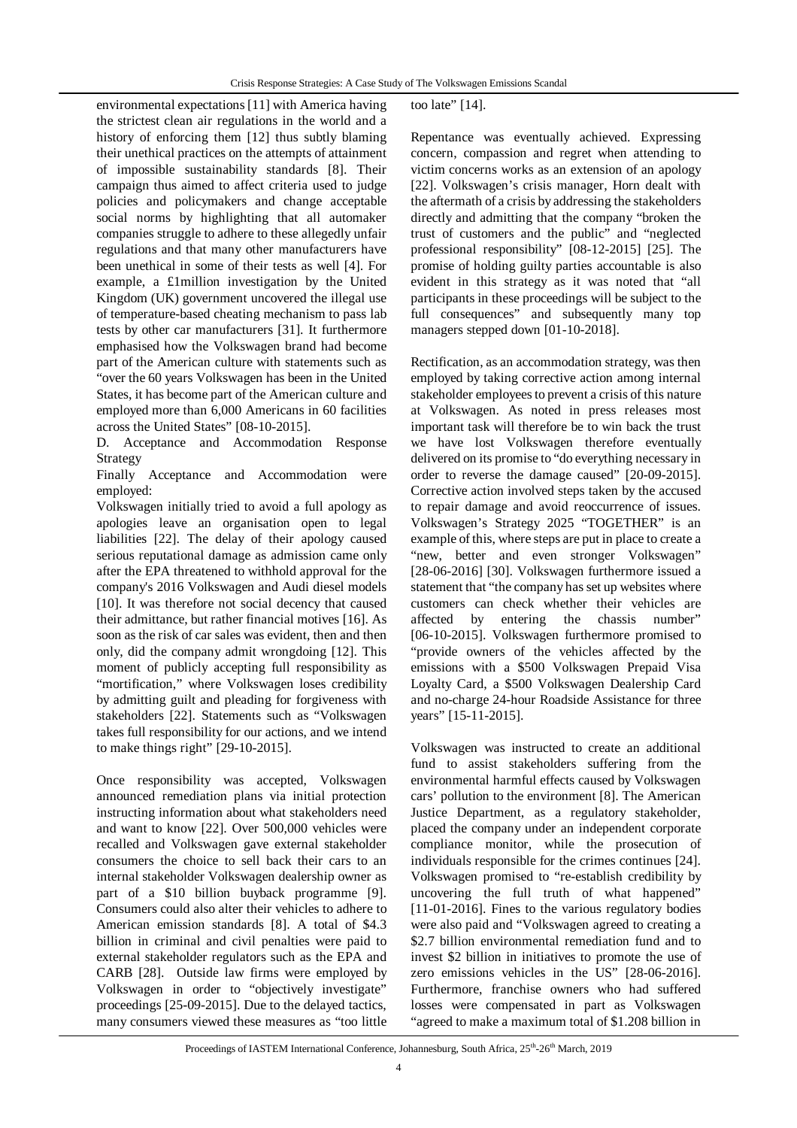environmental expectations [11] with America having the strictest clean air regulations in the world and a history of enforcing them [12] thus subtly blaming their unethical practices on the attempts of attainment of impossible sustainability standards [8]. Their campaign thus aimed to affect criteria used to judge policies and policymakers and change acceptable social norms by highlighting that all automaker companies struggle to adhere to these allegedly unfair regulations and that many other manufacturers have been unethical in some of their tests as well [4]. For example, a £1million investigation by the United Kingdom (UK) government uncovered the illegal use of temperature-based cheating mechanism to pass lab tests by other car manufacturers [31]. It furthermore emphasised how the Volkswagen brand had become part of the American culture with statements such as "over the 60 years Volkswagen has been in the United States, it has become part of the American culture and employed more than 6,000 Americans in 60 facilities across the United States" [08-10-2015].

D. Acceptance and Accommodation Response Strategy

Finally Acceptance and Accommodation were employed:

Volkswagen initially tried to avoid a full apology as apologies leave an organisation open to legal liabilities [22]. The delay of their apology caused serious reputational damage as admission came only after the EPA threatened to withhold approval for the company's 2016 Volkswagen and Audi diesel models [10]. It was therefore not social decency that caused their admittance, but rather financial motives [16]. As soon as the risk of car sales was evident, then and then only, did the company admit wrongdoing [12]. This moment of publicly accepting full responsibility as "mortification," where Volkswagen loses credibility by admitting guilt and pleading for forgiveness with stakeholders [22]. Statements such as "Volkswagen takes full responsibility for our actions, and we intend to make things right" [29-10-2015].

Once responsibility was accepted, Volkswagen announced remediation plans via initial protection instructing information about what stakeholders need and want to know [22]. Over 500,000 vehicles were recalled and Volkswagen gave external stakeholder consumers the choice to sell back their cars to an internal stakeholder Volkswagen dealership owner as part of a \$10 billion buyback programme [9]. Consumers could also alter their vehicles to adhere to American emission standards [8]. A total of \$4.3 billion in criminal and civil penalties were paid to external stakeholder regulators such as the EPA and CARB [28]. Outside law firms were employed by Volkswagen in order to "objectively investigate" proceedings [25-09-2015]. Due to the delayed tactics, many consumers viewed these measures as "too little too late" [14].

Repentance was eventually achieved. Expressing concern, compassion and regret when attending to victim concerns works as an extension of an apology [22]. Volkswagen's crisis manager, Horn dealt with the aftermath of a crisis by addressing the stakeholders directly and admitting that the company "broken the trust of customers and the public" and "neglected professional responsibility" [08-12-2015] [25]. The promise of holding guilty parties accountable is also evident in this strategy as it was noted that "all participants in these proceedings will be subject to the full consequences" and subsequently many top managers stepped down [01-10-2018].

Rectification, as an accommodation strategy, was then employed by taking corrective action among internal stakeholder employees to prevent a crisis of this nature at Volkswagen. As noted in press releases most important task will therefore be to win back the trust we have lost Volkswagen therefore eventually delivered on its promise to "do everything necessary in order to reverse the damage caused" [20-09-2015]. Corrective action involved steps taken by the accused to repair damage and avoid reoccurrence of issues. Volkswagen's Strategy 2025 "TOGETHER" is an example of this, where steps are put in place to create a "new, better and even stronger Volkswagen" [28-06-2016] [30]. Volkswagen furthermore issued a statement that "the company has set up websites where customers can check whether their vehicles are affected by entering the chassis number" [06-10-2015]. Volkswagen furthermore promised to "provide owners of the vehicles affected by the emissions with a \$500 Volkswagen Prepaid Visa Loyalty Card, a \$500 Volkswagen Dealership Card and no-charge 24-hour Roadside Assistance for three years" [15-11-2015].

Volkswagen was instructed to create an additional fund to assist stakeholders suffering from the environmental harmful effects caused by Volkswagen cars' pollution to the environment [8]. The American Justice Department, as a regulatory stakeholder, placed the company under an independent corporate compliance monitor, while the prosecution of individuals responsible for the crimes continues [24]. Volkswagen promised to "re-establish credibility by uncovering the full truth of what happened" [11-01-2016]. Fines to the various regulatory bodies were also paid and "Volkswagen agreed to creating a \$2.7 billion environmental remediation fund and to invest \$2 billion in initiatives to promote the use of zero emissions vehicles in the US" [28-06-2016]. Furthermore, franchise owners who had suffered losses were compensated in part as Volkswagen "agreed to make a maximum total of \$1.208 billion in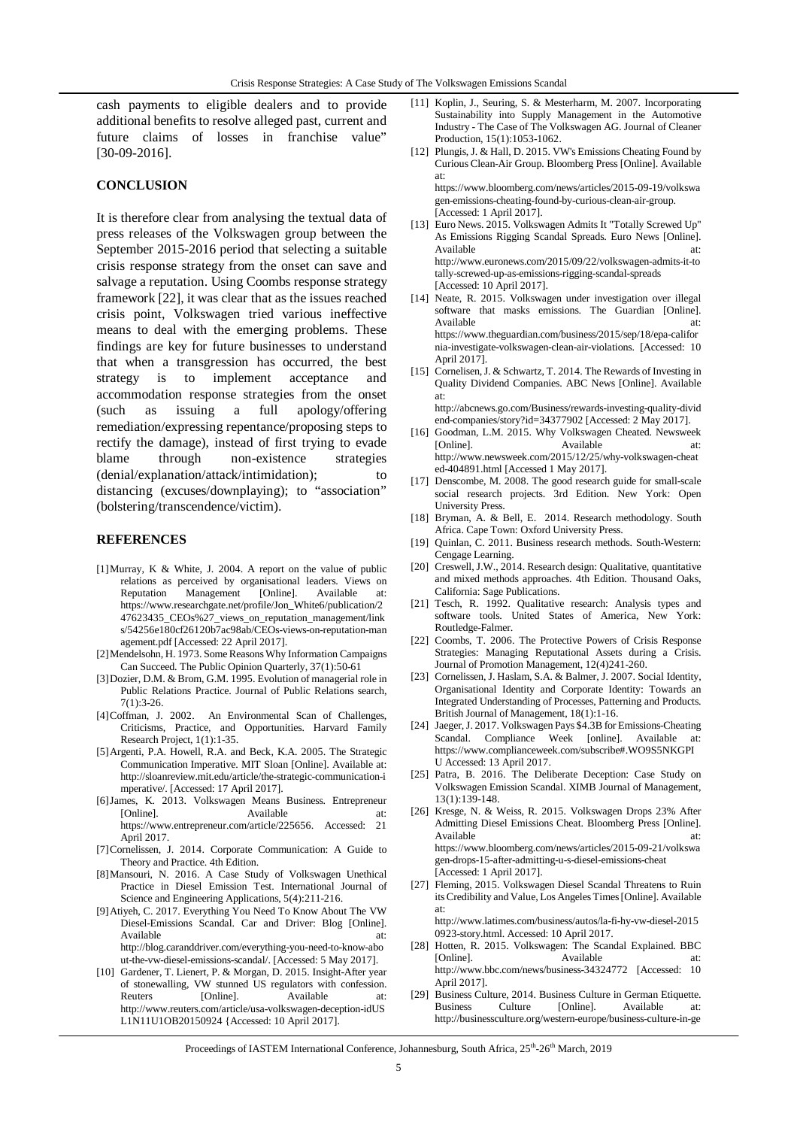cash payments to eligible dealers and to provide additional benefits to resolve alleged past, current and future claims of losses in franchise value" [30-09-2016].

### **CONCLUSION**

It is therefore clear from analysing the textual data of press releases of the Volkswagen group between the September 2015-2016 period that selecting a suitable crisis response strategy from the onset can save and salvage a reputation. Using Coombs response strategy framework [22], it was clear that as the issues reached crisis point, Volkswagen tried various ineffective means to deal with the emerging problems. These findings are key for future businesses to understand that when a transgression has occurred, the best strategy is to implement acceptance and accommodation response strategies from the onset (such as issuing a full apology/offering remediation/expressing repentance/proposing steps to rectify the damage), instead of first trying to evade blame through non-existence strategies (denial/explanation/attack/intimidation); to distancing (excuses/downplaying); to "association" (bolstering/transcendence/victim).

### **REFERENCES**

- [1]Murray, K & White, J. 2004. A report on the value of public relations as perceived by organisational leaders. Views on Reputation Management [Online]. Available at: Reputation Management [Online]. Available at: https://www.researchgate.net/profile/Jon\_White6/publication/2 47623435\_CEOs%27\_views\_on\_reputation\_management/link s/54256e180cf26120b7ac98ab/CEOs-views-on-reputation-man agement.pdf [Accessed: 22 April 2017].
- [2]Mendelsohn, H. 1973. Some Reasons Why Information Campaigns Can Succeed. The Public Opinion Quarterly, 37(1):50-61
- [3]Dozier, D.M. & Brom, G.M. 1995. Evolution of managerial role in Public Relations Practice. Journal of Public Relations search, 7(1):3-26.
- [4]Coffman, J. 2002. An Environmental Scan of Challenges, Criticisms, Practice, and Opportunities. Harvard Family Research Project, 1(1):1-35.
- [5]Argenti, P.A. Howell, R.A. and Beck, K.A. 2005. The Strategic Communication Imperative. MIT Sloan [Online]. Available at: http://sloanreview.mit.edu/article/the-strategic-communication-i mperative/. [Accessed: 17 April 2017].
- [6]James, K. 2013. Volkswagen Means Business. Entrepreneur [Online]. Available at: https://www.entrepreneur.com/article/225656. Accessed: 21 April 2017.
- [7]Cornelissen, J. 2014. Corporate Communication: A Guide to Theory and Practice. 4th Edition.
- [8]Mansouri, N. 2016. A Case Study of Volkswagen Unethical Practice in Diesel Emission Test. International Journal of Science and Engineering Applications, 5(4):211-216.
- [9]Atiyeh, C. 2017. Everything You Need To Know About The VW Diesel-Emissions Scandal. Car and Driver: Blog [Online]. Available at: at: http://blog.caranddriver.com/everything-you-need-to-know-abo ut-the-vw-diesel-emissions-scandal/. [Accessed: 5 May 2017].
- [10] Gardener, T. Lienert, P. & Morgan, D. 2015. Insight-After year of stonewalling, VW stunned US regulators with confession. Reuters [Online]. Available at: http://www.reuters.com/article/usa-volkswagen-deception-idUS L1N11U1OB20150924 {Accessed: 10 April 2017].
- [11] Koplin, J., Seuring, S. & Mesterharm, M. 2007. Incorporating Sustainability into Supply Management in the Automotive Industry - The Case of The Volkswagen AG. Journal of Cleaner Production, 15(1):1053-1062.
- [12] Plungis, J. & Hall, D. 2015. VW's Emissions Cheating Found by Curious Clean-Air Group. Bloomberg Press [Online]. Available at: https://www.bloomberg.com/news/articles/2015-09-19/volkswa

gen-emissions-cheating-found-by-curious-clean-air-group. [Accessed: 1 April 2017].

- [13] Euro News. 2015. Volkswagen Admits It "Totally Screwed Up" As Emissions Rigging Scandal Spreads. Euro News [Online]. Available at: http://www.euronews.com/2015/09/22/volkswagen-admits-it-to tally-screwed-up-as-emissions-rigging-scandal-spreads [Accessed: 10 April 2017].
- [14] Neate, R. 2015. Volkswagen under investigation over illegal software that masks emissions. The Guardian [Online]. Available https://www.theguardian.com/business/2015/sep/18/epa-califor nia-investigate-volkswagen-clean-air-violations. [Accessed: 10 April 2017].
- [15] Cornelisen, J. & Schwartz, T. 2014. The Rewards of Investing in Quality Dividend Companies. ABC News [Online]. Available at:

http://abcnews.go.com/Business/rewards-investing-quality-divid end-companies/story?id=34377902 [Accessed: 2 May 2017].

- [16] Goodman, L.M. 2015. Why Volkswagen Cheated. Newsweek Available at: http://www.newsweek.com/2015/12/25/why-volkswagen-cheat ed-404891.html [Accessed 1 May 2017].
- [17] Denscombe, M. 2008. The good research guide for small-scale social research projects. 3rd Edition. New York: Open University Press.
- [18] Bryman, A. & Bell, E. 2014. Research methodology. South Africa. Cape Town: Oxford University Press.
- [19] Quinlan, C. 2011. Business research methods. South-Western: Cengage Learning.
- [20] Creswell, J.W., 2014. Research design: Qualitative, quantitative and mixed methods approaches. 4th Edition. Thousand Oaks, California: Sage Publications.
- [21] Tesch, R. 1992. Qualitative research: Analysis types and software tools. United States of America, New York: Routledge-Falmer.
- [22] Coombs, T. 2006. The Protective Powers of Crisis Response Strategies: Managing Reputational Assets during a Crisis. Journal of Promotion Management, 12(4)241-260.
- [23] Cornelissen, J. Haslam, S.A. & Balmer, J. 2007. Social Identity, Organisational Identity and Corporate Identity: Towards an Integrated Understanding of Processes, Patterning and Products. British Journal of Management, 18(1):1-16.
- [24] Jaeger, J. 2017. Volkswagen Pays \$4.3B for Emissions-Cheating Scandal. Compliance Week [online]. Available at: https://www.complianceweek.com/subscribe#.WO9S5NKGPI U Accessed: 13 April 2017.
- [25] Patra, B. 2016. The Deliberate Deception: Case Study on Volkswagen Emission Scandal. XIMB Journal of Management, 13(1):139-148.
- [26] Kresge, N. & Weiss, R. 2015. Volkswagen Drops 23% After Admitting Diesel Emissions Cheat. Bloomberg Press [Online]. Available at: https://www.bloomberg.com/news/articles/2015-09-21/volkswa gen-drops-15-after-admitting-u-s-diesel-emissions-cheat [Accessed: 1 April 2017].
- [27] Fleming, 2015. Volkswagen Diesel Scandal Threatens to Ruin its Credibility and Value, Los Angeles Times [Online]. Available at: http://www.latimes.com/business/autos/la-fi-hy-vw-diesel-2015

0923-story.html. Accessed: 10 April 2017.

- [28] Hotten, R. 2015. Volkswagen: The Scandal Explained. BBC [Online]. Available http://www.bbc.com/news/business-34324772 [Accessed: 10 April 2017].
- [29] Business Culture, 2014. Business Culture in German Etiquette. Business Culture [Online]. Available http://businessculture.org/western-europe/business-culture-in-ge

Proceedings of IASTEM International Conference, Johannesburg, South Africa, 25<sup>th</sup>-26<sup>th</sup> March, 2019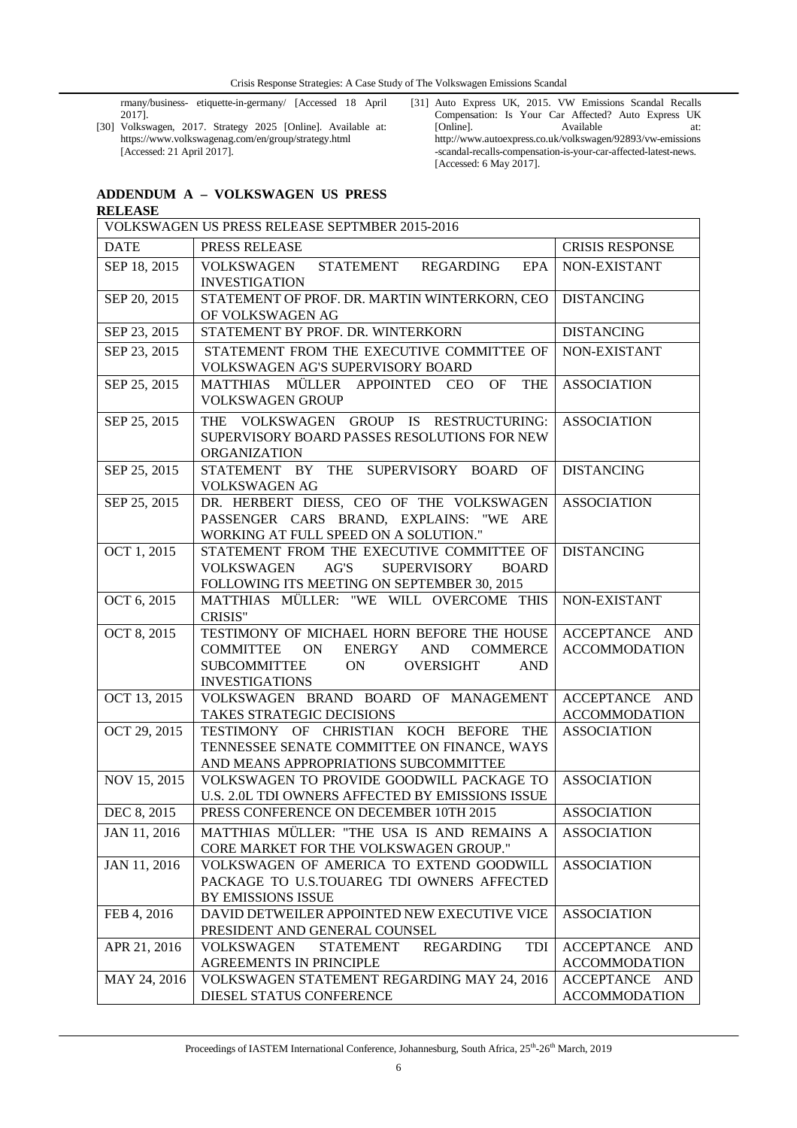rmany/business- etiquette-in-germany/ [Accessed 18 April 2017].

[30] Volkswagen, 2017. Strategy 2025 [Online]. Available at: https://www.volkswagenag.com/en/group/strategy.html [Accessed: 21 April 2017].

[31] Auto Express UK, 2015. VW Emissions Scandal Recalls Compensation: Is Your Car Affected? Auto Express UK [Online]. Available at: http://www.autoexpress.co.uk/volkswagen/92893/vw-emissions -scandal-recalls-compensation-is-your-car-affected-latest-news. [Accessed: 6 May 2017].

## **ADDENDUM A – VOLKSWAGEN US PRESS**

| <b>RELEASE</b>                                 |                                                                                                                                                             |                          |  |  |
|------------------------------------------------|-------------------------------------------------------------------------------------------------------------------------------------------------------------|--------------------------|--|--|
| VOLKSWAGEN US PRESS RELEASE SEPTMBER 2015-2016 |                                                                                                                                                             |                          |  |  |
| <b>DATE</b>                                    | PRESS RELEASE                                                                                                                                               | <b>CRISIS RESPONSE</b>   |  |  |
| SEP 18, 2015                                   | VOLKSWAGEN<br><b>STATEMENT</b><br><b>EPA</b><br>REGARDING<br><b>INVESTIGATION</b>                                                                           | NON-EXISTANT             |  |  |
| SEP 20, 2015                                   | STATEMENT OF PROF. DR. MARTIN WINTERKORN, CEO                                                                                                               | <b>DISTANCING</b>        |  |  |
| SEP 23, 2015                                   | OF VOLKSWAGEN AG<br>STATEMENT BY PROF. DR. WINTERKORN                                                                                                       | <b>DISTANCING</b>        |  |  |
| SEP 23, 2015                                   | STATEMENT FROM THE EXECUTIVE COMMITTEE OF                                                                                                                   | NON-EXISTANT             |  |  |
|                                                | VOLKSWAGEN AG'S SUPERVISORY BOARD                                                                                                                           |                          |  |  |
| SEP 25, 2015                                   | <b>OF</b><br><b>THE</b><br>MATTHIAS MÜLLER APPOINTED<br><b>CEO</b><br><b>VOLKSWAGEN GROUP</b>                                                               | <b>ASSOCIATION</b>       |  |  |
| SEP 25, 2015                                   | THE VOLKSWAGEN GROUP IS RESTRUCTURING:<br>SUPERVISORY BOARD PASSES RESOLUTIONS FOR NEW<br><b>ORGANIZATION</b>                                               | <b>ASSOCIATION</b>       |  |  |
| SEP 25, 2015                                   | STATEMENT BY THE SUPERVISORY BOARD OF<br>VOLKSWAGEN AG                                                                                                      | <b>DISTANCING</b>        |  |  |
| SEP 25, 2015                                   | DR. HERBERT DIESS, CEO OF THE VOLKSWAGEN<br>PASSENGER CARS BRAND, EXPLAINS: "WE ARE<br>WORKING AT FULL SPEED ON A SOLUTION."                                | <b>ASSOCIATION</b>       |  |  |
| OCT 1, 2015                                    | STATEMENT FROM THE EXECUTIVE COMMITTEE OF<br><b>VOLKSWAGEN</b><br>AG'S<br><b>SUPERVISORY</b><br><b>BOARD</b><br>FOLLOWING ITS MEETING ON SEPTEMBER 30, 2015 | <b>DISTANCING</b>        |  |  |
| OCT 6, 2015                                    | MATTHIAS MÜLLER: "WE WILL OVERCOME THIS<br><b>CRISIS"</b>                                                                                                   | NON-EXISTANT             |  |  |
| OCT 8, 2015                                    | TESTIMONY OF MICHAEL HORN BEFORE THE HOUSE                                                                                                                  | ACCEPTANCE AND           |  |  |
|                                                | ON<br>ENERGY<br><b>AND</b><br><b>COMMERCE</b><br><b>COMMITTEE</b><br><b>SUBCOMMITTEE</b><br>ON<br><b>OVERSIGHT</b><br><b>AND</b><br><b>INVESTIGATIONS</b>   | <b>ACCOMMODATION</b>     |  |  |
| OCT 13, 2015                                   | VOLKSWAGEN BRAND BOARD OF MANAGEMENT                                                                                                                        | ACCEPTANCE AND           |  |  |
|                                                | TAKES STRATEGIC DECISIONS<br>TESTIMONY OF CHRISTIAN KOCH BEFORE THE                                                                                         | <b>ACCOMMODATION</b>     |  |  |
| OCT 29, 2015                                   | TENNESSEE SENATE COMMITTEE ON FINANCE, WAYS<br>AND MEANS APPROPRIATIONS SUBCOMMITTEE                                                                        | <b>ASSOCIATION</b>       |  |  |
| NOV 15, 2015                                   | VOLKSWAGEN TO PROVIDE GOODWILL PACKAGE TO<br>U.S. 2.0L TDI OWNERS AFFECTED BY EMISSIONS ISSUE                                                               | <b>ASSOCIATION</b>       |  |  |
| DEC 8, 2015                                    | PRESS CONFERENCE ON DECEMBER 10TH 2015                                                                                                                      | <b>ASSOCIATION</b>       |  |  |
| JAN 11, 2016                                   | MATTHIAS MÜLLER: "THE USA IS AND REMAINS A<br>CORE MARKET FOR THE VOLKSWAGEN GROUP."                                                                        | <b>ASSOCIATION</b>       |  |  |
| JAN 11, 2016                                   | VOLKSWAGEN OF AMERICA TO EXTEND GOODWILL<br>PACKAGE TO U.S.TOUAREG TDI OWNERS AFFECTED<br>BY EMISSIONS ISSUE                                                | <b>ASSOCIATION</b>       |  |  |
| FEB 4, 2016                                    | DAVID DETWEILER APPOINTED NEW EXECUTIVE VICE<br>PRESIDENT AND GENERAL COUNSEL                                                                               | <b>ASSOCIATION</b>       |  |  |
| APR 21, 2016                                   | <b>VOLKSWAGEN</b><br><b>STATEMENT</b><br><b>REGARDING</b><br>TDI                                                                                            | <b>ACCEPTANCE</b><br>AND |  |  |
|                                                | AGREEMENTS IN PRINCIPLE                                                                                                                                     | <b>ACCOMMODATION</b>     |  |  |
| MAY 24, 2016                                   | VOLKSWAGEN STATEMENT REGARDING MAY 24, 2016                                                                                                                 | ACCEPTANCE AND           |  |  |
|                                                | DIESEL STATUS CONFERENCE                                                                                                                                    | <b>ACCOMMODATION</b>     |  |  |